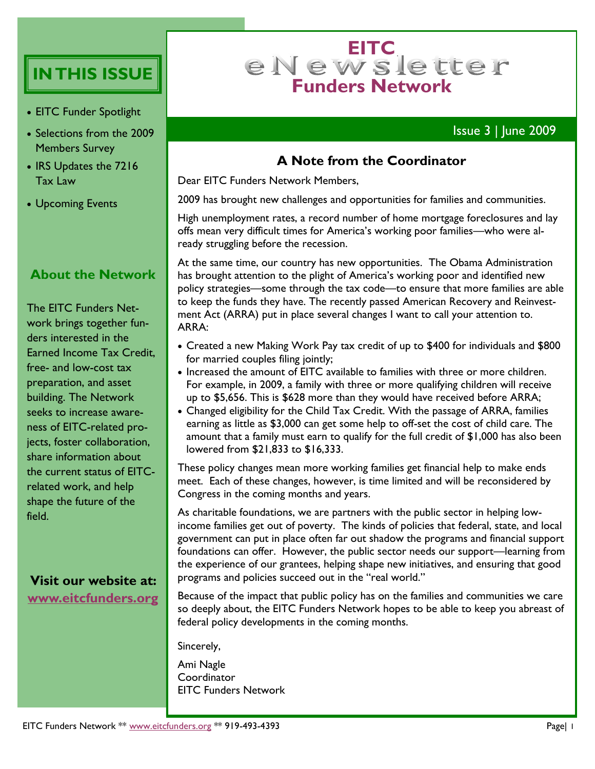# **IN THIS ISSUE**

- EITC Funder Spotlight
- Selections from the 2009 Members Survey
- IRS Updates the 7216 Tax Law
- Upcoming Events

# **About the Network**

The EITC Funders Network brings together funders interested in the Earned Income Tax Credit, free- and low-cost tax preparation, and asset building. The Network seeks to increase awareness of EITC-related projects, foster collaboration, share information about the current status of EITCrelated work, and help shape the future of the field.

# **Visit our website at: [www.eitcfunders.org](http://www.eitcfunders.org)**

# e N e w s le tter **Funders Network**

### Issue 3 | June 2009

### **A Note from the Coordinator**

Dear EITC Funders Network Members,

2009 has brought new challenges and opportunities for families and communities.

High unemployment rates, a record number of home mortgage foreclosures and lay offs mean very difficult times for America's working poor families—who were already struggling before the recession.

At the same time, our country has new opportunities. The Obama Administration has brought attention to the plight of America's working poor and identified new policy strategies—some through the tax code—to ensure that more families are able to keep the funds they have. The recently passed American Recovery and Reinvestment Act (ARRA) put in place several changes I want to call your attention to. ARRA:

- Created a new Making Work Pay tax credit of up to \$400 for individuals and \$800 for married couples filing jointly;
- Increased the amount of EITC available to families with three or more children. For example, in 2009, a family with three or more qualifying children will receive up to \$5,656. This is \$628 more than they would have received before ARRA;
- Changed eligibility for the Child Tax Credit. With the passage of ARRA, families earning as little as \$3,000 can get some help to off-set the cost of child care. The amount that a family must earn to qualify for the full credit of \$1,000 has also been lowered from \$21,833 to \$16,333.

These policy changes mean more working families get financial help to make ends meet. Each of these changes, however, is time limited and will be reconsidered by Congress in the coming months and years.

As charitable foundations, we are partners with the public sector in helping lowincome families get out of poverty. The kinds of policies that federal, state, and local government can put in place often far out shadow the programs and financial support foundations can offer. However, the public sector needs our support—learning from the experience of our grantees, helping shape new initiatives, and ensuring that good programs and policies succeed out in the "real world."

Because of the impact that public policy has on the families and communities we care so deeply about, the EITC Funders Network hopes to be able to keep you abreast of federal policy developments in the coming months.

Sincerely,

Ami Nagle Coordinator EITC Funders Network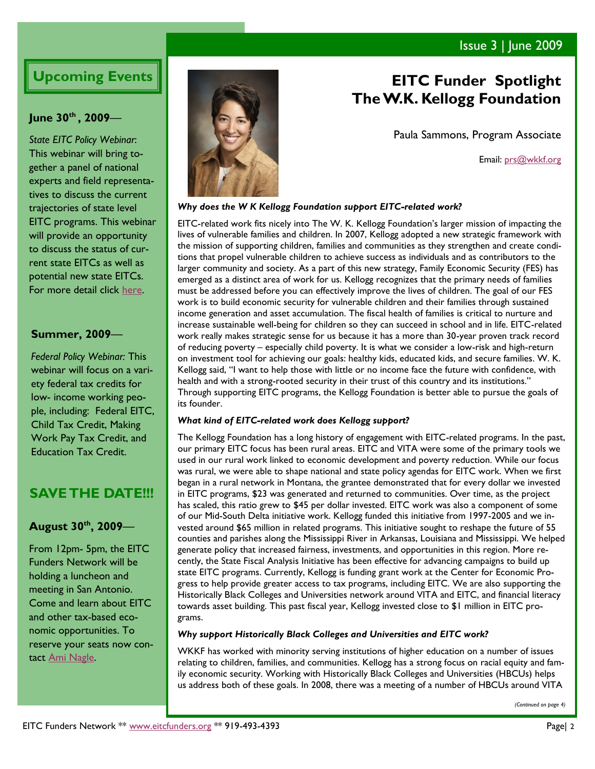# Issue 3 | June 2009

# **Upcoming Events**

#### **June 30th , 2009**—

*State EITC Policy Webinar*: This webinar will bring together a panel of national experts and field representatives to discuss the current trajectories of state level EITC programs. This webinar will provide an opportunity to discuss the status of current state EITCs as well as potential new state EITCs. For more detail click [here.](http://www.eitcfunders.org/upcoming.html)

#### **Summer, 2009**—

*Federal Policy Webinar:* This webinar will focus on a variety federal tax credits for low- income working people, including: Federal EITC, Child Tax Credit, Making Work Pay Tax Credit, and Education Tax Credit.

# **SAVE THE DATE!!!**

#### **August 30th, 2009**—

From 12pm- 5pm, the EITC Funders Network will be holding a luncheon and meeting in San Antonio. Come and learn about EITC and other tax-based economic opportunities. To reserve your seats now contact [Ami Nagle.](mailto:info@eitcfunders.org)



# **EITC Funder Spotlight The W.K. Kellogg Foundation**

Paula Sammons, Program Associate

Email: [prs@wkkf.org](mailto:prs@wkkf.org)

#### *Why does the W K Kellogg Foundation support EITC-related work?*

EITC-related work fits nicely into The W. K. Kellogg Foundation's larger mission of impacting the lives of vulnerable families and children. In 2007, Kellogg adopted a new strategic framework with the mission of supporting children, families and communities as they strengthen and create conditions that propel vulnerable children to achieve success as individuals and as contributors to the larger community and society. As a part of this new strategy, Family Economic Security (FES) has emerged as a distinct area of work for us. Kellogg recognizes that the primary needs of families must be addressed before you can effectively improve the lives of children. The goal of our FES work is to build economic security for vulnerable children and their families through sustained income generation and asset accumulation. The fiscal health of families is critical to nurture and increase sustainable well-being for children so they can succeed in school and in life. EITC-related work really makes strategic sense for us because it has a more than 30-year proven track record of reducing poverty – especially child poverty. It is what we consider a low-risk and high-return on investment tool for achieving our goals: healthy kids, educated kids, and secure families. W. K. Kellogg said, "I want to help those with little or no income face the future with confidence, with health and with a strong-rooted security in their trust of this country and its institutions." Through supporting EITC programs, the Kellogg Foundation is better able to pursue the goals of its founder.

#### *What kind of EITC-related work does Kellogg support?*

The Kellogg Foundation has a long history of engagement with EITC-related programs. In the past, our primary EITC focus has been rural areas. EITC and VITA were some of the primary tools we used in our rural work linked to economic development and poverty reduction. While our focus was rural, we were able to shape national and state policy agendas for EITC work. When we first began in a rural network in Montana, the grantee demonstrated that for every dollar we invested in EITC programs, \$23 was generated and returned to communities. Over time, as the project has scaled, this ratio grew to \$45 per dollar invested. EITC work was also a component of some of our Mid-South Delta initiative work. Kellogg funded this initiative from 1997-2005 and we invested around \$65 million in related programs. This initiative sought to reshape the future of 55 counties and parishes along the Mississippi River in Arkansas, Louisiana and Mississippi. We helped generate policy that increased fairness, investments, and opportunities in this region. More recently, the State Fiscal Analysis Initiative has been effective for advancing campaigns to build up state EITC programs. Currently, Kellogg is funding grant work at the Center for Economic Progress to help provide greater access to tax programs, including EITC. We are also supporting the Historically Black Colleges and Universities network around VITA and EITC, and financial literacy towards asset building. This past fiscal year, Kellogg invested close to \$1 million in EITC programs.

#### *Why support Historically Black Colleges and Universities and EITC work?*

WKKF has worked with minority serving institutions of higher education on a number of issues relating to children, families, and communities. Kellogg has a strong focus on racial equity and family economic security. Working with Historically Black Colleges and Universities (HBCUs) helps us address both of these goals. In 2008, there was a meeting of a number of HBCUs around VITA

*(Continued on page 4)*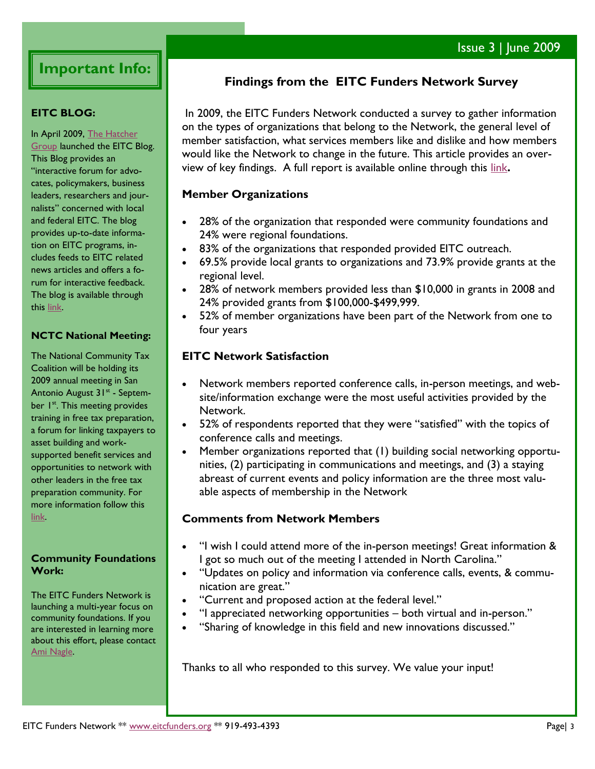# **Important Info:**

#### **EITC BLOG:**

In April 2009, [The Hatcher](http://www.thehatchergroup.com/)  [Group](http://www.thehatchergroup.com/) launched the EITC Blog. This Blog provides an "interactive forum for advocates, policymakers, business leaders, researchers and journalists" concerned with local and federal EITC. The blog provides up-to-date information on EITC programs, includes feeds to EITC related news articles and offers a forum for interactive feedback. The blog is available through this [link.](http://www.eitcblog.org/home/)

#### **NCTC National Meeting:**

The National Community Tax Coalition will be holding its 2009 annual meeting in San Antonio August 31<sup>st</sup> - September 1<sup>st</sup>. This meeting provides training in free tax preparation, a forum for linking taxpayers to asset building and worksupported benefit services and opportunities to network with other leaders in the free tax preparation community. For more information follow this [link.](http://www.tax-coalition.org/aug2009index.cfm)

#### **Community Foundations Work:**

The EITC Funders Network is launching a multi-year focus on community foundations. If you are interested in learning more about this effort, please contact [Ami Nagle.](mailto:info@eitcfunders.org)

# **Findings from the EITC Funders Network Survey**

In 2009, the EITC Funders Network conducted a survey to gather information on the types of organizations that belong to the Network, the general level of member satisfaction, what services members like and dislike and how members would like the Network to change in the future. This article provides an overview of key findings. A full report is available online through this [link](http://www.eitcfunders.org/documents/EITCSurveyReportv2.pdf)**.** 

### **Member Organizations**

- 28% of the organization that responded were community foundations and 24% were regional foundations.
- 83% of the organizations that responded provided EITC outreach.
- 69.5% provide local grants to organizations and 73.9% provide grants at the regional level.
- 28% of network members provided less than \$10,000 in grants in 2008 and 24% provided grants from \$100,000-\$499,999.
- 52% of member organizations have been part of the Network from one to four years

### **EITC Network Satisfaction**

- Network members reported conference calls, in-person meetings, and website/information exchange were the most useful activities provided by the Network.
- 52% of respondents reported that they were "satisfied" with the topics of conference calls and meetings.
- Member organizations reported that (1) building social networking opportunities, (2) participating in communications and meetings, and (3) a staying abreast of current events and policy information are the three most valuable aspects of membership in the Network

#### **Comments from Network Members**

- "I wish I could attend more of the in-person meetings! Great information & I got so much out of the meeting I attended in North Carolina."
- "Updates on policy and information via conference calls, events, & communication are great."
- "Current and proposed action at the federal level."
- "I appreciated networking opportunities both virtual and in-person."
- "Sharing of knowledge in this field and new innovations discussed."

Thanks to all who responded to this survey. We value your input!